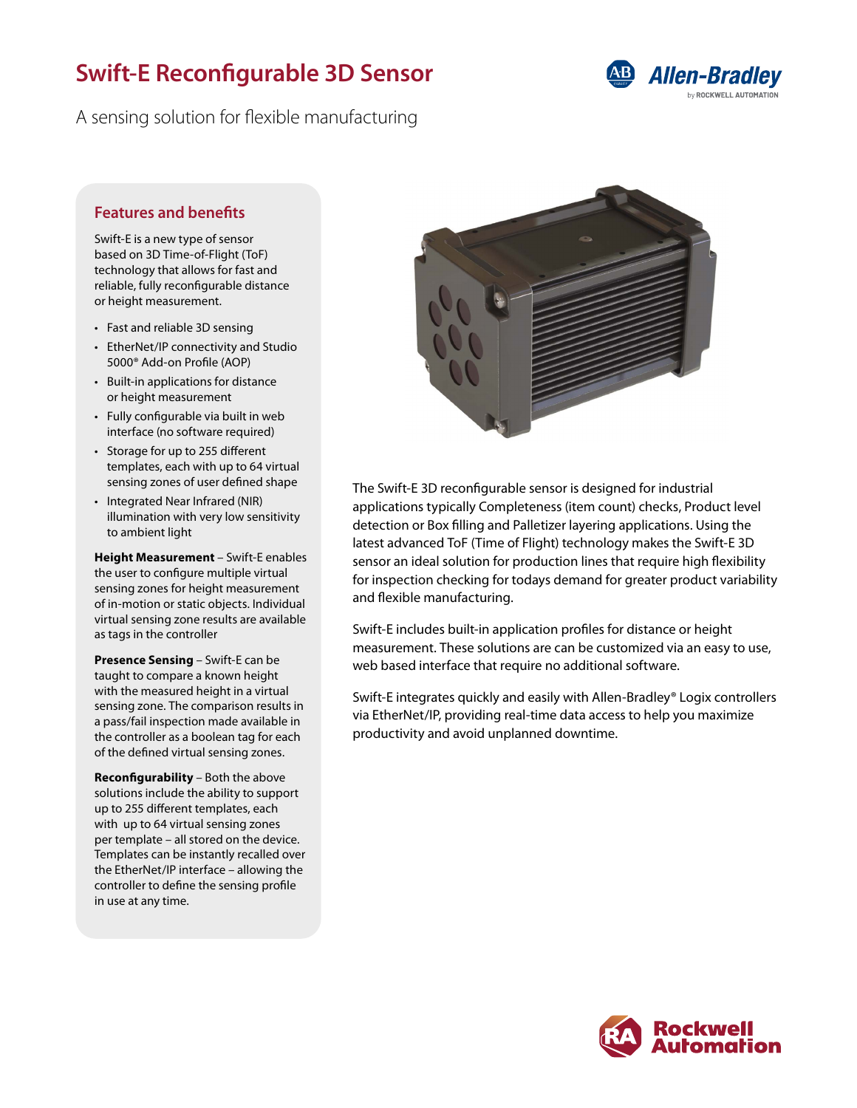# **Swift-E Reconfigurable 3D Sensor**

A sensing solution for flexible manufacturing



### **Features and benefits**

Swift-E is a new type of sensor based on 3D Time-of-Flight (ToF) technology that allows for fast and reliable, fully reconfigurable distance or height measurement.

- Fast and reliable 3D sensing
- EtherNet/IP connectivity and Studio 5000® Add-on Profile (AOP)
- Built-in applications for distance or height measurement
- Fully configurable via built in web interface (no software required)
- Storage for up to 255 different templates, each with up to 64 virtual sensing zones of user defined shape
- Integrated Near Infrared (NIR) illumination with very low sensitivity to ambient light

**Height Measurement** – Swift-E enables the user to configure multiple virtual sensing zones for height measurement of in-motion or static objects. Individual virtual sensing zone results are available as tags in the controller

**Presence Sensing** – Swift-E can be taught to compare a known height with the measured height in a virtual sensing zone. The comparison results in a pass/fail inspection made available in the controller as a boolean tag for each of the defined virtual sensing zones.

**Reconfigurability** – Both the above solutions include the ability to support up to 255 different templates, each with up to 64 virtual sensing zones per template – all stored on the device. Templates can be instantly recalled over the EtherNet/IP interface – allowing the controller to define the sensing profile in use at any time.



The Swift-E 3D reconfigurable sensor is designed for industrial applications typically Completeness (item count) checks, Product level detection or Box filling and Palletizer layering applications. Using the latest advanced ToF (Time of Flight) technology makes the Swift-E 3D sensor an ideal solution for production lines that require high flexibility for inspection checking for todays demand for greater product variability and flexible manufacturing.

Swift-E includes built-in application profiles for distance or height measurement. These solutions are can be customized via an easy to use, web based interface that require no additional software.

Swift-E integrates quickly and easily with Allen-Bradley® Logix controllers via EtherNet/IP, providing real-time data access to help you maximize productivity and avoid unplanned downtime.